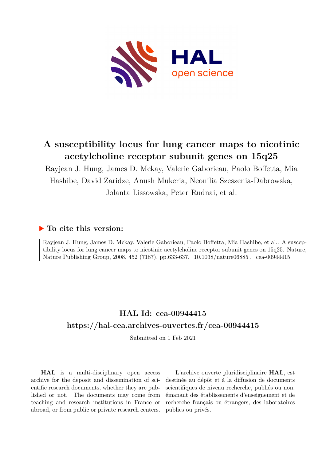

## **A susceptibility locus for lung cancer maps to nicotinic acetylcholine receptor subunit genes on 15q25**

Rayjean J. Hung, James D. Mckay, Valerie Gaborieau, Paolo Boffetta, Mia Hashibe, David Zaridze, Anush Mukeria, Neonilia Szeszenia-Dabrowska, Jolanta Lissowska, Peter Rudnai, et al.

### **To cite this version:**

Rayjean J. Hung, James D. Mckay, Valerie Gaborieau, Paolo Boffetta, Mia Hashibe, et al.. A susceptibility locus for lung cancer maps to nicotinic acetylcholine receptor subunit genes on 15q25. Nature, Nature Publishing Group, 2008, 452 (7187), pp.633-637. 10.1038/nature06885. cea-00944415

## **HAL Id: cea-00944415 <https://hal-cea.archives-ouvertes.fr/cea-00944415>**

Submitted on 1 Feb 2021

**HAL** is a multi-disciplinary open access archive for the deposit and dissemination of scientific research documents, whether they are published or not. The documents may come from teaching and research institutions in France or abroad, or from public or private research centers.

L'archive ouverte pluridisciplinaire **HAL**, est destinée au dépôt et à la diffusion de documents scientifiques de niveau recherche, publiés ou non, émanant des établissements d'enseignement et de recherche français ou étrangers, des laboratoires publics ou privés.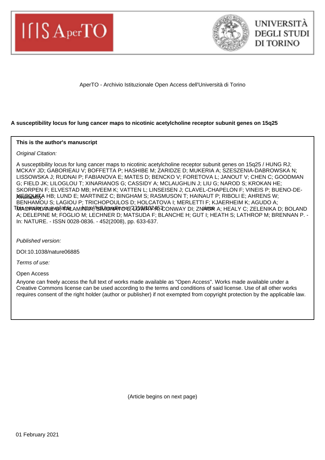



AperTO - Archivio Istituzionale Open Access dell'Università di Torino

#### **A susceptibility locus for lung cancer maps to nicotinic acetylcholine receptor subunit genes on 15q25**

#### **This is the author's manuscript**

**Original Citation:** 

A susceptibility locus for lung cancer maps to nicotinic acetylcholine receptor subunit genes on 15q25 / HUNG RJ; MCKAY JD; GABORIEAU V; BOFFETTA P; HASHIBE M; ZARIDZE D; MUKERIA A; SZESZENIA-DABROWSKA N; LISSOWSKA J; RUDNAI P; FABIANOVA E; MATES D; BENCKO V; FORETOVA L; JANOUT V; CHEN C; GOODMAN G; FIELD JK; LILOGLOU T; XINARIANOS G; CASSIDY A; MCLAUGHLIN J; LIU G; NAROD S; KROKAN HE; SKORPEN F; ELVESTAD MB; HVEEM K; VATTEN L; LINSEISEN J; CLAVEL-CHAPELON F; VINEIS P; BUENO-DE-MGSAGANNTA HB; LUND E; MARTINEZ C; BINGHAM S; RASMUSON T; HAINAUT P; RIBOLI E; AHRENS W; BENHAMOU S; LAGIOU P; TRICHOPOULOS D; HOLCATOVA I; MERLETTI F; KJAERHEIM K; AGUDO A; Tionia Ceparrida alevesi;adale a minutry/issin/ronal@oet/2313WRO245,3CONWAY DI; ZNA IOOR A; HEALY C; ZELENIKA D; BOLAND A; DELEPINE M; FOGLIO M; LECHNER D; MATSUDA F; BLANCHE H; GUT I; HEATH S; LATHROP M; BRENNAN P. - In: NATURE. - ISSN 0028-0836. - 452(2008), pp. 633-637.

Published version:

DOI:10.1038/nature06885

Terms of use:

Open Access

Anyone can freely access the full text of works made available as "Open Access". Works made available under a Creative Commons license can be used according to the terms and conditions of said license. Use of all other works requires consent of the right holder (author or publisher) if not exempted from copyright protection by the applicable law.

(Article begins on next page)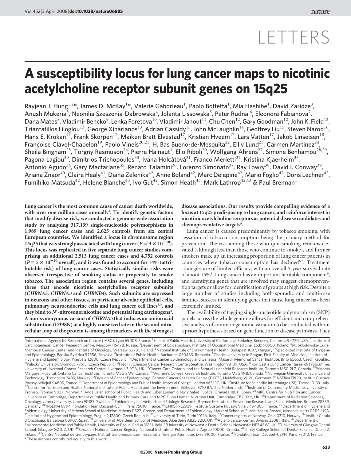# LETTERS

## A susceptibility locus for lung cancer maps to nicotinic acetylcholine receptor subunit genes on 15q25

Rayjean J. Hung $^{1,2*}$ , James D. McKay $^{1*}$ , Valerie Gaborieau $^{1}$ , Paolo Boffetta $^{1}$ , Mia Hashibe $^{1}$ , David Zaridze $^{3}$ , Anush Mukeria $^3$ , Neonilia Szeszenia-Dabrowska $^4$ , Jolanta Lissowska $^5$ , Peter Rudnai $^6$ , Eleonora Fabianova $^7$ , Dana Mates $^8$ , Vladimir Bencko $^9$ , Lenka Foretova $^{10}$ , Vladimir Janout $^{11}$ , Chu Chen $^{12}$ , Gary Goodman $^{12}$ , John K. Field $^{13}$ , Triantafillos Liloglou<sup>13</sup>, George Xinarianos<sup>13</sup>, Adrian Cassidy<sup>13</sup>, John McLaughlin<sup>14</sup>, Geoffrey Liu<sup>15</sup>, Steven Narod<sup>16</sup>, Hans E. Krokan<sup>17</sup>, Frank Skorpen<sup>17</sup>, Maiken Bratt Elvestad<sup>17</sup>, Kristian Hveem<sup>17</sup>, Lars Vatten<sup>17</sup>, Jakob Linseisen<sup>18</sup>, Françoise Clavel-Chapelon<sup>19</sup>, Paolo Vineis<sup>20,21</sup>, H. Bas Bueno-de-Mesquita<sup>22</sup>, Eiliv Lund<sup>23</sup>, Carmen Martinez<sup>24</sup>, Sheila Bingham<sup>25</sup>, Torgny Rasmuson<sup>26</sup>, Pierre Hainaut<sup>1</sup>, Elio Riboli<sup>20</sup>, Wolfgang Ahrens<sup>27</sup>, Simone Benhamou<sup>28,29</sup>, Pagona Lagiou<sup>30</sup>, Dimitrios Trichopoulos<sup>30</sup>, Ivana Holcátová<sup>31</sup>, Franco Merletti<sup>32</sup>, Kristina Kjaerheim<sup>33</sup>, Antonio Agudo<sup>34</sup>, Gary Macfarlane<sup>35</sup>, Renato Talamini<sup>36</sup>, Lorenzo Simonato<sup>37</sup>, Ray Lowry<sup>38</sup>, David I. Conway<sup>39</sup>, Ariana Znaor<sup>40</sup>, Claire Healy<sup>41</sup>, Diana Zelenika<sup>42</sup>, Anne Boland<sup>42</sup>, Marc Delepine<sup>42</sup>, Mario Foglio<sup>42</sup>, Doris Lechner<sup>42</sup> Fumihiko Matsuda<sup>42</sup>, Helene Blanche<sup>43</sup>, Ivo Gut<sup>42</sup>, Simon Heath<sup>43</sup>, Mark Lathrop<sup>42,43</sup> & Paul Brennan<sup>1</sup>

Lung cancer is the most common cause of cancer death worldwide, with over one million cases annually<sup>1</sup>. To identify genetic factors that modify disease risk, we conducted a genome-wide association study by analysing 317,139 single-nucleotide polymorphisms in 1,989 lung cancer cases and 2,625 controls from six central European countries. We identified a locus in chromosome region 15q25 that was strongly associated with lung cancer ( $P = 9 \times 10^{-10}$ ). This locus was replicated in five separate lung cancer studies comprising an additional 2,513 lung cancer cases and 4,752 controls  $(P = 5 \times 10^{-20}$  overall), and it was found to account for 14% (attributable risk) of lung cancer cases. Statistically similar risks were observed irrespective of smoking status or propensity to smoke tobacco. The association region contains several genes, including three that encode nicotinic acetylcholine receptor subunits (CHRNA5, CHRNA3 and CHRNB4). Such subunits are expressed in neurons and other tissues, in particular alveolar epithelial cells, pulmonary neuroendocrine cells and lung cancer cell lines<sup>2,3</sup>, and they bind to  $N'$ -nitrosonornicotine and potential lung carcinogens<sup>4</sup>. A non-synonymous variant of CHRNA5 that induces an amino acid substitution (D398N) at a highly conserved site in the second intracellular loop of the protein is among the markers with the strongest disease associations. Our results provide compelling evidence of a locus at 15q25 predisposing to lung cancer, and reinforce interest in nicotinic acetylcholine receptors as potential disease candidates and chemopreventative targets<sup>5</sup>.

Lung cancer is caused predominantly by tobacco smoking, with cessation of tobacco consumption being the primary method for prevention. The risk among those who quit smoking remains elevated (although less than those who continue to smoke), and former smokers make up an increasing proportion of lung cancer patients in countries where tobacco consumption has declined<sup>6,7</sup>. Treatment strategies are of limited efficacy, with an overall 5-year survival rate of about 15%<sup>8</sup>. Lung cancer has an important heritable component<sup>9</sup>, and identifying genes that are involved may suggest chemoprevention targets or allow for identification of groups at high risk. Despite a large number of studies including both sporadic and multi-case families, success in identifying genes that cause lung cancer has been extremely limited.

The availability of tagging single-nucleotide polymorphism (SNP) panels across the whole genome allows for efficient and comprehensive analysis of common genomic variation to be conducted without a priori hypotheses based on gene function or disease pathways. They

*\**These authors contributed equally to this work. <sup>1</sup>International Agency for Research on Cancer (IARC), Lyon 69008, France. <sup>2</sup>School of Public Health, University of California at Berkeley, Berkeley, California 94720, USA. <sup>3</sup>Institute of Carcinogenesis, Cancer Research Centre, Moscow 115478, Russia. <sup>4</sup>Department of Epidemiology, Institute of Occupational Medicine, Lodz 90950, Poland. <sup>5</sup>M. Sklodowska-Curie Memorial Cancer Center and Institute of Oncology, Warsaw 02781, Poland. <sup>6</sup>National Institute of Environmental Health, Budapest 1097, Hungary. <sup>7</sup>Specialized Institute of Hygiene<br>and Epidemiology, Banska Bystrica 97556, Sl Hygiene and Epidemiology, Prague 2 12800, Czech Republic. <sup>10</sup>Department of Cancer Epidemiology and Genetics, Masaryk Memorial Cancer Institute, Brno 65653, Czech Republic.<br><sup>11</sup>Palacky University, Olomouc 77515, Czech Repu Technology, Trondheim 7489, Norway. <sup>18</sup>Division of Cancer Epidemiology, German Cancer Research Centre (DKFZ), Heidelberg 69120, Germany. <sup>19</sup>INSERM ERI20, Institut Gustave<br>Roussy, Villejuif 94805, France. <sup>20</sup>Department o University of Cambridge, Department of Public Health and Primary Care and MRC Dunn Human Nutrition Unit, Cambridge CB2 0XY, UK. <sup>26</sup>Department of Radiation Sciences, Oncology, Umea University, Umea 90187, Sweden. <sup>27</sup>Epidemiological Methods and Etiologic Research, Bremen Institute for Prevention Research and Social Medicine, Bremen 28359,<br>Germany. <sup>28</sup>INSERM U794, Fondation Jean Dausse Epidemiology, University of Athens School of Medicine, Athens 11527, Greece, and Department of Epidemiology, Harvard School of Public Health, Boston, Massachusetts 02115, USA.<br><sup>31</sup>Institute of Hygiene and Epidemiology, Pra Environmental Medicine and Public Health, University of Padua, Padua 35131, Italy. 38University of Newcastle Dental School, Newcastle NE2 4BW, UK. 39University of Glasgow Dental School, Glasgow G2 3JZ, UK. <sup>40</sup>Croatian National Cancer Registry, National Institute of Public Health, Zagreb 10000, Croatia. <sup>41</sup>Trinity College School of Dental Science, Dublin 2,<br>Ireland. <sup>42</sup>Centre National de Genotyp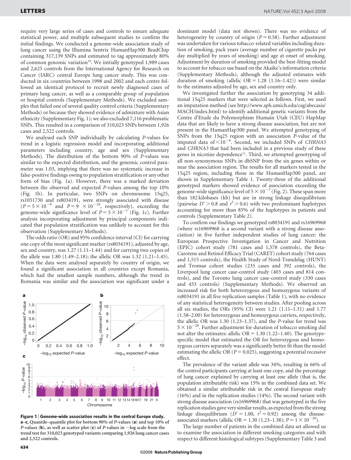require very large series of cases and controls to ensure adequate statistical power, and multiple subsequent studies to confirm the initial findings. We conducted a genome-wide association study of lung cancer using the Illumina Sentrix HumanHap300 BeadChip containing 317,139 SNPs and estimated to tag approximately 80% of common genomic variation<sup>10</sup>. We initially genotyped 1,989 cases and 2,625 controls from the International Agency for Research on Cancer (IARC) central Europe lung cancer study. This was conducted in six countries between 1998 and 2002 and each centre followed an identical protocol to recruit newly diagnosed cases of primary lung cancer, as well as a comparable group of population or hospital controls (Supplementary Methods). We excluded samples that failed one of several quality control criteria (Supplementary Methods) or because they showed evidence of admixture with Asian ethnicity (Supplementary Fig. 1); we also excluded 7,116 problematic SNPs. This resulted in a comparison of 310,023 SNPs between 1,926 cases and 2,522 controls.

We analysed each SNP individually by calculating P-values for trend in a logistic regression model and incorporating additional parameters including country, age and sex (Supplementary Methods). The distribution of the bottom 90% of P-values was similar to the expected distribution, and the genomic control parameter was 1.03, implying that there was no systematic increase in false-positive findings owing to population stratification or any other form of bias (Fig. 1a). However, there was a marked deviation between the observed and expected P-values among the top 10% (Fig. 1b). In particular, two SNPs on chromosome 15q25, rs1051730 and rs8034191, were strongly associated with disease  $(P = 5 \times 10^{-9}$  and  $P = 9 \times 10^{-10}$ , respectively), exceeding the genome-wide significance level of  $P = 5 \times 10^{-7}$  (Fig. 1c). Further analysis incorporating adjustment by principal components indicated that population stratification was unlikely to account for this observation (Supplementary Methods).

The odds ratio (OR) and 95% confidence interval (CI) for carrying one copy of the most significant marker (rs8034191), adjusted by age, sex and country, was 1.27 (1.11–1.44) and for carrying two copies of the allele was 1.80 (1.49–2.18); the allelic OR was 1.32 (1.21–1.45). When the data were analysed separately by country of origin, we found a significant association in all countries except Romania, which had the smallest sample numbers, although the trend in Romania was similar and the association was significant under a



Figure 1 | Genome-wide association results in the central Europe study. a–c, Quantile–quantile plot for bottom 90% of P-values (a) and top 10% of P-values (b), as well as scatter plot (c) of P-values in  $-\log$  scale from the trend test for 310,023 genotyped variants comparing 1,926 lung cancer cases and 2,522 controls.

dominant model (data not shown). There was no evidence of heterogeneity by country of origin ( $P = 0.58$ ). Further adjustment was undertaken for various tobacco-related variables including duration of smoking, pack years (average number of cigarette packs per day multiplied by years of smoking) and age at onset of smoking. Adjustment by duration of smoking provided the best-fitting model to account for tobacco use based on the Akaike's information criteria (Supplementary Methods), although the adjusted estimates with duration of smoking (allelic  $OR = 1.28$  (1.16–1.42)) were similar to the estimates adjusted by age, sex and country only.

We investigated further the association by genotyping 34 additional 15q25 markers that were selected as follows. First, we used an imputation method (see [http://www.sph.umich.edu/csg/abecasis/](http://www.sph.umich.edu/csg/abecasis/MACH/index.html) [MACH/index.html\)](http://www.sph.umich.edu/csg/abecasis/MACH/index.html) to identify additional genetic variants from the Centre d'Etude du Polymorphism Humain Utah (CEU) HapMap data that are likely to have a strong disease association, but are not present in the HumanHap300 panel. We attempted genotyping of SNPs from the 15q25 region with an association P-value of the imputed data of  $<$  10<sup>-6</sup>. Second, we included SNPs of CHRNA5 and CHRNA3 that had been included in a previous study of these genes in nicotine dependence<sup>11</sup>. Third, we attempted genotyping of all non-synonymous SNPs in dbSNP from the six genes within or near the association region. The results for all markers tested in the 15q25 region, including those in the HumanHap300 panel, are shown in Supplementary Table 1. Twenty-three of the additional genotyped markers showed evidence of association exceeding the genome-wide significance level of  $5 \times 10^{-7}$  (Fig. 2). These span more than 182 kilobases (kb) but are in strong linkage disequilibrium (pairwise  $D' > 0.8$  and  $r^2 > 0.6$ ) with two predominant haplotypes accounting for more than 85% of the haplotypes in patients and controls (Supplementary Table 2).

To confirm our findings we genotyped rs8034191 and rs16969968 (where rs16969968 is a second variant with a strong disease association) in five further independent studies of lung cancer: the European Prospective Investigation in Cancer and Nutrition (EPIC) cohort study (781 cases and 1,578 controls), the Beta-Carotene and Retinol Efficacy Trial (CARET) cohort study (764 cases and 1,515 controls), the Health Study of Nord-Trøndelag (HUNT) and Tromsø cohort studies (235 cases and 392 controls), the Liverpool lung cancer case-control study (403 cases and 814 controls), and the Toronto lung cancer case-control study (330 cases and 453 controls) (Supplementary Methods). We observed an increased risk for both heterozygous and homozygous variants of rs8034191 in all five replication samples (Table 1), with no evidence of any statistical heterogeneity between studies. After pooling across all six studies, the ORs (95% CI) were 1.21 (1.11–1.31) and 1.77 (1.58–2.00) for heterozygous and homozygous carriers, respectively, the allelic OR was 1.30 (1.23–1.37), and the P-value for trend was  $5 \times 10^{-20}$ . Further adjustment for duration of tobacco smoking did not alter the estimates: allelic  $OR = 1.30$  (1.22–1.40). The genotypespecific model that estimated the OR for heterozygous and homozygous carriers separately was a significantly better fit than the model estimating the allelic OR ( $P = 0.025$ ), suggesting a potential recessive effect.

The prevalence of the variant allele was 34%, resulting in 66% of the control participants carrying at least one copy, and the percentage of lung cancer explained by carrying at least one allele (that is, the population attributable risk) was 15% in the combined data set. We obtained a similar attributable risk in the central European study (16%) and in the replication studies (14%). The second variant with strong disease association (rs16969968) that was genotyped in the five replication studies gave very similar results, as expected from the strong linkage disequilibrium ( $D' = 1.00$ ,  $r^2 = 0.92$ ) among the diseaseassociated markers (allelic OR = 1.30 (1.23–1.38);  $P = 1 \times 10^{-20}$ ).

The large number of patients in the combined data set allowed us to examine the association in different smoking categories and with respect to different histological subtypes (Supplementary Table 3 and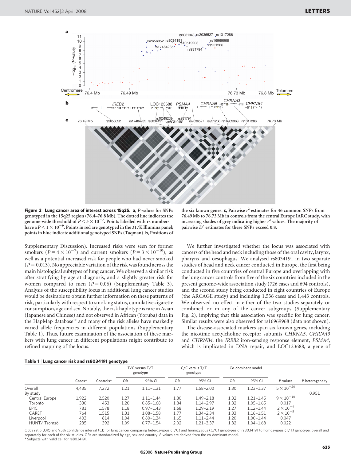

Figure 2 <sup>|</sup> Lung cancer area of interest across 15q25. a, P-values for SNPs genotyped in the 15q25 region (76.4–76.8 Mb). The dotted line indicates the genome-wide threshold of  $P < 5 \times 10^{-7}$ . Points labelled with rs numbers have a  $P$   $<$  1  $\times$  10  $^{-9}$ . Points in red are genotyped in the 317K Illumina panel; points in blue indicate additional genotyped SNPs (Taqman). b, Positions of

Supplementary Discussion). Increased risks were seen for former smokers ( $P = 4 \times 10^{-7}$ ) and current smokers ( $P = 3 \times 10^{-10}$ ), as well as a potential increased risk for people who had never smoked  $(P = 0.013)$ . No appreciable variation of the risk was found across the main histological subtypes of lung cancer. We observed a similar risk after stratifying by age at diagnosis, and a slightly greater risk for women compared to men  $(P = 0.06)$  (Supplementary Table 3). Analysis of the susceptibility locus in additional lung cancer studies would be desirable to obtain further information on these patterns of risk, particularly with respect to smoking status, cumulative cigarette consumption, age and sex. Notably, the risk haplotype is rare in Asian (Japanese and Chinese) and not observed in African (Yoruba) data in the HapMap database<sup>12</sup> and many of the risk alleles have markedly varied allele frequencies in different populations (Supplementary Table 1). Thus, future examination of the association of these markers with lung cancer in different populations might contribute to refined mapping of the locus.

the six known genes. c, Pairwise  $r^2$  estimates for 46 common SNPs from 76.49 Mb to 76.73 Mb in controls from the central Europe IARC study, with increasing shades of grey indicating higher  $r^2$  values. The majority of pairwise  $D'$  estimates for these SNPs exceed 0.8.

We further investigated whether the locus was associated with cancers of the head and neck including those of the oral cavity, larynx, pharynx and oesophagus. We analysed rs8034191 in two separate studies of head and neck cancer conducted in Europe, the first being conducted in five countries of central Europe and overlapping with the lung cancer controls from five of the six countries included in the present genome-wide association study (726 cases and 694 controls), and the second study being conducted in eight countries of Europe (the ARCAGE study) and including 1,536 cases and 1,443 controls. We observed no effect in either of the two studies separately or combined or in any of the cancer subgroups (Supplementary Fig. 2), implying that this association was specific for lung cancer. Similar results were also observed for rs16969968 (data not shown).

The disease-associated markers span six known genes, including the nicotinic acetylcholine receptor subunits CHRNA5, CHRNA3 and CHRNB4, the IREB2 iron-sensing response element, PSMA4, which is implicated in DNA repair, and LOC123688, a gene of

|  | Table 1 Lung cancer risk and rs8034191 genotype |  |  |  |
|--|-------------------------------------------------|--|--|--|
|--|-------------------------------------------------|--|--|--|

|                |                    |           | T/C versus T/T<br>genotype |               | C/C versus T/T<br>genotype |               | Co-dominant model |               |                     |                 |
|----------------|--------------------|-----------|----------------------------|---------------|----------------------------|---------------|-------------------|---------------|---------------------|-----------------|
|                | $\textsf{Cases}^*$ | Controls* | <b>OR</b>                  | 95% CI        | OR                         | 95% CI        | <b>OR</b>         | 95% CI        | P-values            | P-heterogeneity |
| Overall        | 4.435              | 7.272     | 1.21                       | $1.11 - 1.31$ | 1.77                       | $1.58 - 2.00$ | 1.30              | $1.23 - 1.37$ | $5 \times 10^{-20}$ |                 |
| By study       |                    |           |                            |               |                            |               |                   |               |                     | 0.951           |
| Central Europe | 1,922              | 2.520     | 1.27                       | $1.11 - 1.44$ | 1.80                       | $1.49 - 2.18$ | 1.32              | $1.21 - 1.45$ | $9 \times 10^{-10}$ |                 |
| Toronto        | 330                | 453       | 1.20                       | $0.85 - 1.68$ | 1.84                       | $1.14 - 2.97$ | 1.32              | $1.05 - 1.65$ | 0.017               |                 |
| EPIC           | 781                | 1,578     | 1.18                       | $0.97 - 1.43$ | 1.68                       | $1.29 - 2.19$ | 1.27              | $1.12 - 1.44$ | $2 \times 10^{-4}$  |                 |
| CARET          | 764                | 1,515     | 1.31                       | $1.08 - 1.58$ | 1.77                       | $1.34 - 2.34$ | 1.33              | $1.16 - 1.51$ | $2 \times 10^{-5}$  |                 |
| Liverpool      | 403                | 814       | 1.04                       | $0.80 - 1.34$ | 1.65                       | $1.11 - 2.44$ | 1.20              | $1.00 - 1.44$ | 0.047               |                 |
| HUNT/Tromsö    | 235                | 392       | 1.09                       | $0.77 - 1.54$ | 2.02                       | $1.21 - 3.37$ | 1.32              | $1.04 - 1.68$ | 0.022               |                 |

Odds ratio (OR) and 95% confidence interval (CI) for lung cancer comparing heterozygous (T/C) and homozygous (C/C) genotypes of rs8034191 to homozygous (T/T) genotype, overall and separately for each of the six studies. ORs are standardized by age, sex and country. P-values are derived from the co-dominant model. \* Subjects with valid call for rs8034191.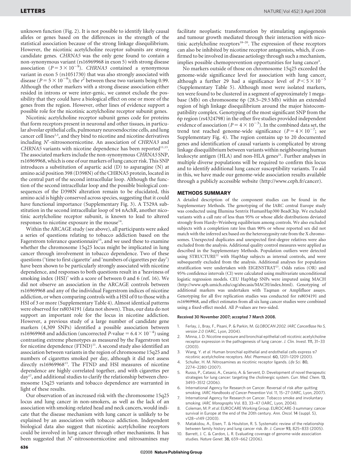unknown function (Fig. 2). It is not possible to identify likely causal alleles or genes based on the differences in the strength of the statistical association because of the strong linkage disequilibrium. However, the nicotinic acetylcholine receptor subunits are strong candidate genes. CHRNA5 was the only gene found to contain a non-synonymous variant (rs16969968 in exon 5) with strong disease association ( $P = 3 \times 10^{-9}$ ). CHRNA3 contained a synonymous variant in exon 5 (rs1051730) that was also strongly associated with disease ( $P = 5 \times 10^{-9}$ ); the  $r^2$  between these two variants being 0.99. Although the other markers with a strong disease association either resided in introns or were inter-genic, we cannot exclude the possibility that they could have a biological effect on one or more of the genes from the region. However, other lines of evidence support a possible role for the nicotinic acetylcholine receptor subunit genes.

Nicotinic acetylcholine receptor subunit genes code for proteins that form receptors present in neuronal and other tissues, in particular alveolar epithelial cells, pulmonary neuroendocrine cells, and lung cancer cell lines<sup>2,3</sup>, and they bind to nicotine and nicotine derivatives including N'-nitrosonornicotine. An association of CHRNA3 and  $CHRNA5$  variants with nicotine dependence has been reported<sup>11,13</sup>. The associated markers include the non-synonymous CHRNA5 SNP, rs16969968, which is one of our markers of lung cancer risk. This SNP introduces a substitution of aspartic acid (D) to asparagine (N) at amino acid position 398 (D398N) of the CHRNA5 protein, located in the central part of the second intracellular loop. Although the function of the second intracellular loop and the possible biological consequences of the D398N alteration remain to be elucidated, this amino acid is highly conserved across species, suggesting that it could have functional importance (Supplementary Fig. 3). A T529A substitution in the second intracellular loop of  $\alpha$ 4 nAchR, another nicotinic acetylcholine receptor subunit, is known to lead to altered responses to nicotine exposure in the mouse $14$ .

Within the ARCAGE study (see above), all participants were asked a series of questions relating to tobacco addiction based on the Fagerstrom tolerance questionnaire<sup>15</sup>, and we used these to examine whether the chromosome 15q25 locus might be implicated in lung cancer through involvement in tobacco dependence. Two of these questions ('time to first cigarette' and 'numbers of cigarettes per day') have been shown to be particularly strongly associated with nicotine dependence, and responses to both questions result in a 'heaviness of smoking index (HSI)' with a score of between 0 and 6 (ref. 16). We did not observe an association in the ARCAGE controls between rs16969968 and any of the individual Fagerstrom indices of nicotine addiction, or when comparing controls with a HSI of 0 to those with a HSI of 3 or more (Supplementary Table 4). Almost identical patterns were observed for rs8034191 (data not shown). Thus, our data do not support an important role for the locus in nicotine addiction. However, a previous study of a large number of candidate gene markers (4,309 SNPs) identified a possible association between rs16969968 and addiction (uncorrected P-value =  $6.4 \times 10^{-4}$ ) using contrasting extreme phenotypes as measured by the Fagerstrom test for nicotine dependence (FTND)<sup>11</sup>. A second study also identified an association between variants in the region of chromosome 15q25 and numbers of cigarettes smoked per day, although it did not assess directly rs1696996813. The FTND and HSI measures of nicotine dependence are highly correlated together, and with cigarettes per day<sup>17</sup>, and additional studies to clarify the relationship between chromosome 15q25 variants and tobacco dependence are warranted in light of these results.

Our observation of an increased risk with the chromosome 15q25 locus and lung cancer in non-smokers, as well as the lack of an association with smoking-related head and neck cancers, would indicate that the disease mechanism with lung cancer is unlikely to be explained by an association with tobacco addiction. Independent biological data also suggest that nicotinic acetylcholine receptors could be involved in lung cancer through other mechanisms. It has been suggested that  $N'$ -nitrosonornicotine and nitrosamines may

facilitate neoplastic transformation by stimulating angiogenesis and tumour growth mediated through their interaction with nicotinic acetylcholine receptors<sup>18–20</sup>. The expression of these receptors can also be inhibited by nicotine receptor antagonists, which, if confirmed to be involved in disease aetiology through such a mechanism, implies possible chemoprevention opportunities for lung cancer<sup>5</sup>.

No markers outside of those on chromosome 15q25 exceeded the genome-wide significance level for association with lung cancer, although a further 29 had a significance level of  $P \le 5 \times 10^{-5}$ (Supplementary Table 5). Although most were isolated markers, ten were found to be clustered in a segment of approximately 1 megabase (Mb) on chromosome 6p (28.5–29.5 Mb) within an extended region of high linkage disequilibrium around the major histocompatibility complex. Genotyping of the most significant SNP from the 6p region (rs4324798) in the other five studies provided independent evidence of association ( $P = 4 \times 10^{-3}$ ). In the combined data set, the trend test reached genome-wide significance  $(P = 4 \times 10^{-7})$ ; see Supplementary Fig. 4). The region contains up to 20 documented genes and identification of causal variants is complicated by strong linkage disequilibrium between variants within neighbouring human leukocyte antigen (HLA) and non-HLA genes<sup>21</sup>. Further analyses in multiple diverse populations will be required to confirm this locus and to identify additional lung cancer susceptibility variants. To aid in this, we have made our genome-wide association results available through a publicly accessible website (<http://www.ceph.fr/cancer>).

#### METHODS SUMMARY

A detailed description of the component studies can be found in the Supplementary Methods. The genotyping of the IARC central Europe study was conducted using Illumina Sentrix HumanHap300 BeadChip. We excluded variants with a call rate of less than 95% or whose allele distributions deviated strongly from Hardy–Weinberg equilibrium among controls. We also excluded subjects with a completion rate less than 90% or whose reported sex did not match with the inferred sex based on the heterozygosity rate from the X chromosomes. Unexpected duplicates and unexpected first-degree relatives were also excluded from the analysis. Additional quality control measures were applied as described in the Supplementary Methods. Population outliers were detected using STRUCTURE<sup>22</sup> with HapMap subjects as internal controls, and were subsequently excluded from the analysis. Additional analyses for population stratification were undertaken with EIGENSTRAT<sup>23</sup>. Odds ratios (OR) and 95% confidence intervals (CI) were calculated using multivariate unconditional logistic regression models. CEU HapMap SNPs were imputed using MACH ([http://www.sph.umich.edu/csg/abecasis/MACH/index.html\)](http://www.sph.umich.edu/csg/abecasis/MACH/index.html). Genotyping of additional markers was undertaken with Taqman or Amplifluor assays. Genotyping for all five replication studies was conducted for rs8034191 and rs16969968, and effect estimates from all six lung cancer studies were combined using a fixed-effect model. All P-values are two-sided.

#### Received 30 November 2007; accepted 7 March 2008.

- Ferlay, J., Bray, F., Pisani, P. & Parkin, M. GLOBOCAN 2002. IARC CancerBase No 5, version 2.0 (IARC, Lyon, 2004).
- 2. Minna, J. D. Nicotine exposure and bronchial epithelial cell nicotinic acetylcholine receptor expression in the pathogenesis of lung cancer. J. Clin. Invest. 111, 31–33 (2003).
- Wang, Y. et al. Human bronchial epithelial and endothelial cells express  $\alpha$ 7 nicotinic acetylcholine receptors. Mol. Pharmacol. 60, 1201–1209 (2001).
- 4. Schuller, H. M. Nitrosamines as nicotinic receptor ligands. Life Sci. 80, 2274–2280 (2007).
- Russo, P., Catassi, A., Cesario, A. & Servent, D. Development of novel therapeutic strategies for lung cancer: targeting the cholinergic system. Curr. Med. Chem. 13, 3493–3512 (2006).
- International Agency for Research on Cancer. Reversal of risk after quitting smoking. IARC Handbooks of Cancer Prevention Vol. 11, 15–27 (IARC, Lyon, 2007).
- 7. International Agency for Research on Cancer. Tobacco smoke and involuntary smoking. IARC Monographs Vol. 83, 33–47 (IARC, Lyon, 2004).
- 8. Coleman, M. P. et al. EUROCARE Working Group. EUROCARE-3 summary: cancer survival in Europe at the end of the 20th century. Ann. Oncol. 14 (suppl. 5), v128–v149 (2003).
- 9. Matakidou, A., Eisen, T. & Houlston, R. S. Systematic review of the relationship between family history and lung cancer risk. Br. J. Cancer 93, 825–833 (2005).
- Barrett, J. C. & Cardon, L. R. Evaluating coverage of genome-wide association studies. Nature Genet. 38, 659–662 (2006).